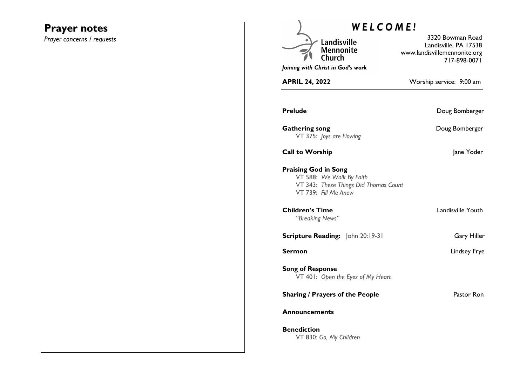## **Prayer notes**

*Prayer concerns / requests* 

| WELCOME!                                  |                                                                                           |                                                                                           |
|-------------------------------------------|-------------------------------------------------------------------------------------------|-------------------------------------------------------------------------------------------|
|                                           | Landisville<br>Mennonite                                                                  | 3320 Bowman Road<br>Landisville, PA 17538<br>www.landisvillemennonite.org<br>717-898-0071 |
|                                           | Joining with Christ in God's work                                                         |                                                                                           |
| <b>APRIL 24, 2022</b>                     |                                                                                           | Worship service: 9:00 am                                                                  |
| Prelude                                   |                                                                                           | Doug Bomberger                                                                            |
| <b>Gathering song</b>                     | VT 375: Joys are Flowing                                                                  | Doug Bomberger                                                                            |
| <b>Call to Worship</b>                    |                                                                                           | Jane Yoder                                                                                |
| <b>Praising God in Song</b>               | VT 588: We Walk By Faith<br>VT 343: These Things Did Thomas Count<br>VT 739: Fill Me Anew |                                                                                           |
| <b>Children's Time</b><br>"Breaking News" |                                                                                           | Landisville Youth                                                                         |
|                                           | <b>Scripture Reading:</b> John 20:19-31                                                   | <b>Gary Hiller</b>                                                                        |
| Sermon                                    |                                                                                           | Lindsey Frye                                                                              |
| <b>Song of Response</b>                   | VT 401: Open the Eyes of My Heart                                                         |                                                                                           |
|                                           | <b>Sharing / Prayers of the People</b>                                                    | Pastor Ron                                                                                |
| Announcements                             |                                                                                           |                                                                                           |
| <b>Benediction</b>                        | VT 830: Go, My Children                                                                   |                                                                                           |